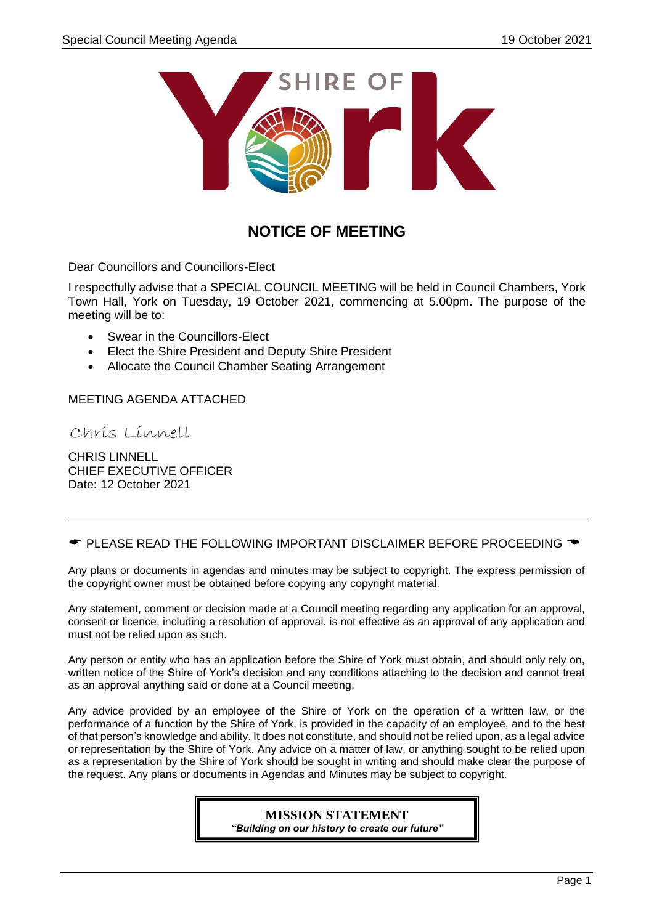

# **NOTICE OF MEETING**

Dear Councillors and Councillors-Elect

I respectfully advise that a SPECIAL COUNCIL MEETING will be held in Council Chambers, York Town Hall, York on Tuesday, 19 October 2021, commencing at 5.00pm. The purpose of the meeting will be to:

- Swear in the Councillors-Elect
- Elect the Shire President and Deputy Shire President
- Allocate the Council Chamber Seating Arrangement

MEETING AGENDA ATTACHED

Chris Linnell

CHRIS LINNELL CHIEF EXECUTIVE OFFICER Date: 12 October 2021

 $\bullet$  PLEASE READ THE FOLLOWING IMPORTANT DISCLAIMER BEFORE PROCEEDING  $\bullet$ 

Any plans or documents in agendas and minutes may be subject to copyright. The express permission of the copyright owner must be obtained before copying any copyright material.

Any statement, comment or decision made at a Council meeting regarding any application for an approval, consent or licence, including a resolution of approval, is not effective as an approval of any application and must not be relied upon as such.

Any person or entity who has an application before the Shire of York must obtain, and should only rely on, written notice of the Shire of York's decision and any conditions attaching to the decision and cannot treat as an approval anything said or done at a Council meeting.

Any advice provided by an employee of the Shire of York on the operation of a written law, or the performance of a function by the Shire of York, is provided in the capacity of an employee, and to the best of that person's knowledge and ability. It does not constitute, and should not be relied upon, as a legal advice or representation by the Shire of York. Any advice on a matter of law, or anything sought to be relied upon as a representation by the Shire of York should be sought in writing and should make clear the purpose of the request. Any plans or documents in Agendas and Minutes may be subject to copyright.

> **MISSION STATEMENT** *"Building on our history to create our future"*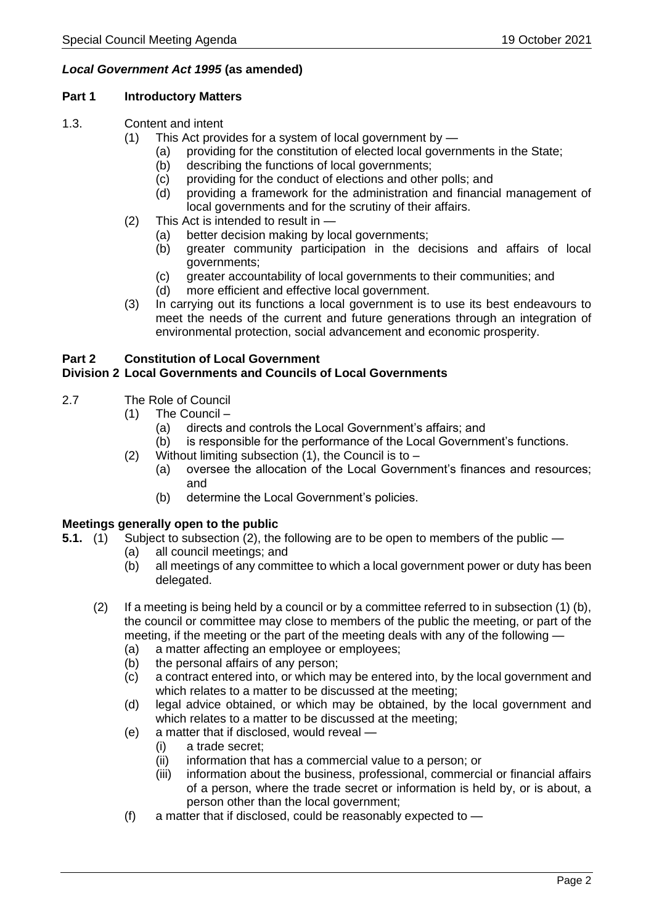## *Local Government Act 1995* **(as amended)**

#### **Part 1 Introductory Matters**

- 1.3. Content and intent
	- (1) This Act provides for a system of local government by
		- (a) providing for the constitution of elected local governments in the State;
		- (b) describing the functions of local governments;
		- (c) providing for the conduct of elections and other polls; and
		- (d) providing a framework for the administration and financial management of local governments and for the scrutiny of their affairs.
	- (2) This Act is intended to result in
		- (a) better decision making by local governments;
		- (b) greater community participation in the decisions and affairs of local governments;
		- (c) greater accountability of local governments to their communities; and
		- (d) more efficient and effective local government.
	- (3) In carrying out its functions a local government is to use its best endeavours to meet the needs of the current and future generations through an integration of environmental protection, social advancement and economic prosperity.

# **Part 2 Constitution of Local Government**

# **Division 2 Local Governments and Councils of Local Governments**

- 2.7 The Role of Council
	- (1) The Council
		- (a) directs and controls the Local Government's affairs; and
		- (b) is responsible for the performance of the Local Government's functions.
	- (2) Without limiting subsection  $(1)$ , the Council is to
		- (a) oversee the allocation of the Local Government's finances and resources; and
		- (b) determine the Local Government's policies.

#### **Meetings generally open to the public**

- **5.1.** (1) Subject to subsection (2), the following are to be open to members of the public
	- (a) all council meetings; and
	- (b) all meetings of any committee to which a local government power or duty has been delegated.
	- (2) If a meeting is being held by a council or by a committee referred to in subsection (1) (b), the council or committee may close to members of the public the meeting, or part of the meeting, if the meeting or the part of the meeting deals with any of the following —
		- (a) a matter affecting an employee or employees;
		- (b) the personal affairs of any person;
		- (c) a contract entered into, or which may be entered into, by the local government and which relates to a matter to be discussed at the meeting;
		- (d) legal advice obtained, or which may be obtained, by the local government and which relates to a matter to be discussed at the meeting;
		- (e) a matter that if disclosed, would reveal
			- (i) a trade secret;
			- (ii) information that has a commercial value to a person; or
			- (iii) information about the business, professional, commercial or financial affairs of a person, where the trade secret or information is held by, or is about, a person other than the local government;
		- (f) a matter that if disclosed, could be reasonably expected to —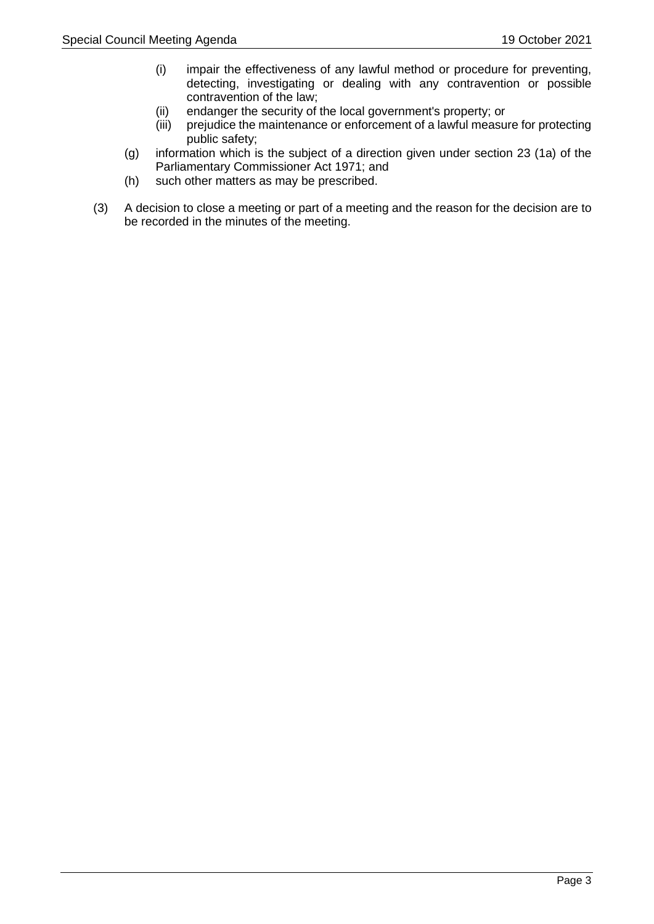- (i) impair the effectiveness of any lawful method or procedure for preventing, detecting, investigating or dealing with any contravention or possible contravention of the law;
- (ii) endanger the security of the local government's property; or
- (iii) prejudice the maintenance or enforcement of a lawful measure for protecting public safety;
- (g) information which is the subject of a direction given under section 23 (1a) of the Parliamentary Commissioner Act 1971; and
- (h) such other matters as may be prescribed.
- (3) A decision to close a meeting or part of a meeting and the reason for the decision are to be recorded in the minutes of the meeting.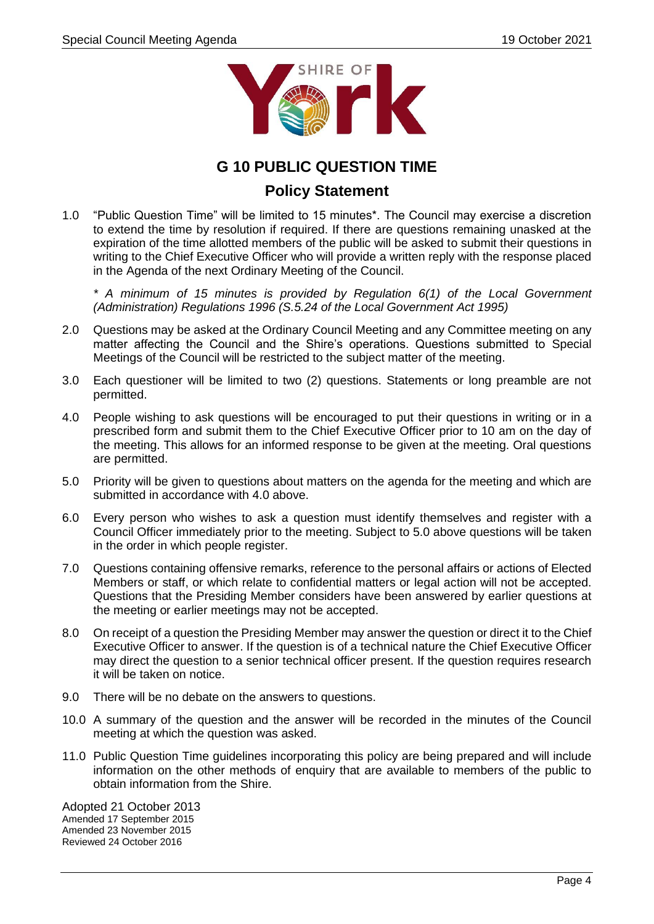

# **G 10 PUBLIC QUESTION TIME**

# **Policy Statement**

1.0 "Public Question Time" will be limited to 15 minutes\*. The Council may exercise a discretion to extend the time by resolution if required. If there are questions remaining unasked at the expiration of the time allotted members of the public will be asked to submit their questions in writing to the Chief Executive Officer who will provide a written reply with the response placed in the Agenda of the next Ordinary Meeting of the Council.

*\* A minimum of 15 minutes is provided by Regulation 6(1) of the Local Government (Administration) Regulations 1996 (S.5.24 of the Local Government Act 1995)*

- 2.0 Questions may be asked at the Ordinary Council Meeting and any Committee meeting on any matter affecting the Council and the Shire's operations. Questions submitted to Special Meetings of the Council will be restricted to the subject matter of the meeting.
- 3.0 Each questioner will be limited to two (2) questions. Statements or long preamble are not permitted.
- 4.0 People wishing to ask questions will be encouraged to put their questions in writing or in a prescribed form and submit them to the Chief Executive Officer prior to 10 am on the day of the meeting. This allows for an informed response to be given at the meeting. Oral questions are permitted.
- 5.0 Priority will be given to questions about matters on the agenda for the meeting and which are submitted in accordance with 4.0 above.
- 6.0 Every person who wishes to ask a question must identify themselves and register with a Council Officer immediately prior to the meeting. Subject to 5.0 above questions will be taken in the order in which people register.
- 7.0 Questions containing offensive remarks, reference to the personal affairs or actions of Elected Members or staff, or which relate to confidential matters or legal action will not be accepted. Questions that the Presiding Member considers have been answered by earlier questions at the meeting or earlier meetings may not be accepted.
- 8.0 On receipt of a question the Presiding Member may answer the question or direct it to the Chief Executive Officer to answer. If the question is of a technical nature the Chief Executive Officer may direct the question to a senior technical officer present. If the question requires research it will be taken on notice.
- 9.0 There will be no debate on the answers to questions.
- 10.0 A summary of the question and the answer will be recorded in the minutes of the Council meeting at which the question was asked.
- 11.0 Public Question Time guidelines incorporating this policy are being prepared and will include information on the other methods of enquiry that are available to members of the public to obtain information from the Shire.

Adopted 21 October 2013 Amended 17 September 2015 Amended 23 November 2015 Reviewed 24 October 2016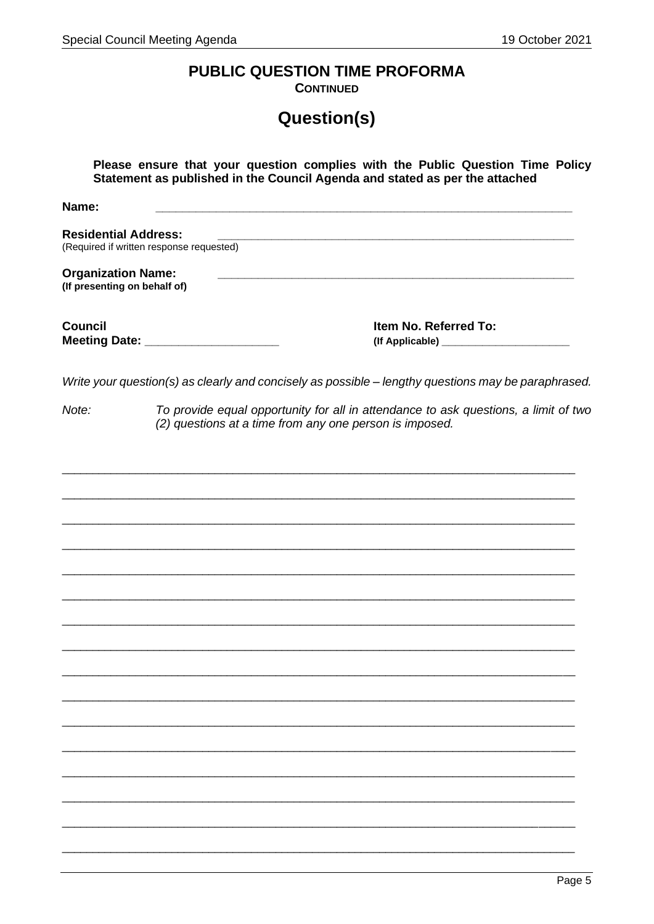# PUBLIC QUESTION TIME PROFORMA

**CONTINUED** 

# Question(s)

| Please ensure that your question complies with the Public Question Time Policy<br>Statement as published in the Council Agenda and stated as per the attached |                                                                                                                                                |  |  |
|---------------------------------------------------------------------------------------------------------------------------------------------------------------|------------------------------------------------------------------------------------------------------------------------------------------------|--|--|
| Name:                                                                                                                                                         | <u> 1980 - Johann Barbara, martxa alemaniar argumento este alemaniar alemaniar alemaniar alemaniar alemaniar al</u>                            |  |  |
| <b>Residential Address:</b>                                                                                                                                   | (Required if written response requested)                                                                                                       |  |  |
| <b>Organization Name:</b><br>(If presenting on behalf of)                                                                                                     |                                                                                                                                                |  |  |
| <b>Council</b>                                                                                                                                                | Item No. Referred To:<br>Meeting Date: _______________________                                                                                 |  |  |
|                                                                                                                                                               | Write your question(s) as clearly and concisely as possible - lengthy questions may be paraphrased.                                            |  |  |
| Note:                                                                                                                                                         | To provide equal opportunity for all in attendance to ask questions, a limit of two<br>(2) questions at a time from any one person is imposed. |  |  |
|                                                                                                                                                               |                                                                                                                                                |  |  |
|                                                                                                                                                               |                                                                                                                                                |  |  |
|                                                                                                                                                               |                                                                                                                                                |  |  |
|                                                                                                                                                               |                                                                                                                                                |  |  |
|                                                                                                                                                               |                                                                                                                                                |  |  |
|                                                                                                                                                               |                                                                                                                                                |  |  |
|                                                                                                                                                               |                                                                                                                                                |  |  |
|                                                                                                                                                               |                                                                                                                                                |  |  |
|                                                                                                                                                               |                                                                                                                                                |  |  |
|                                                                                                                                                               |                                                                                                                                                |  |  |
|                                                                                                                                                               |                                                                                                                                                |  |  |
|                                                                                                                                                               |                                                                                                                                                |  |  |
|                                                                                                                                                               |                                                                                                                                                |  |  |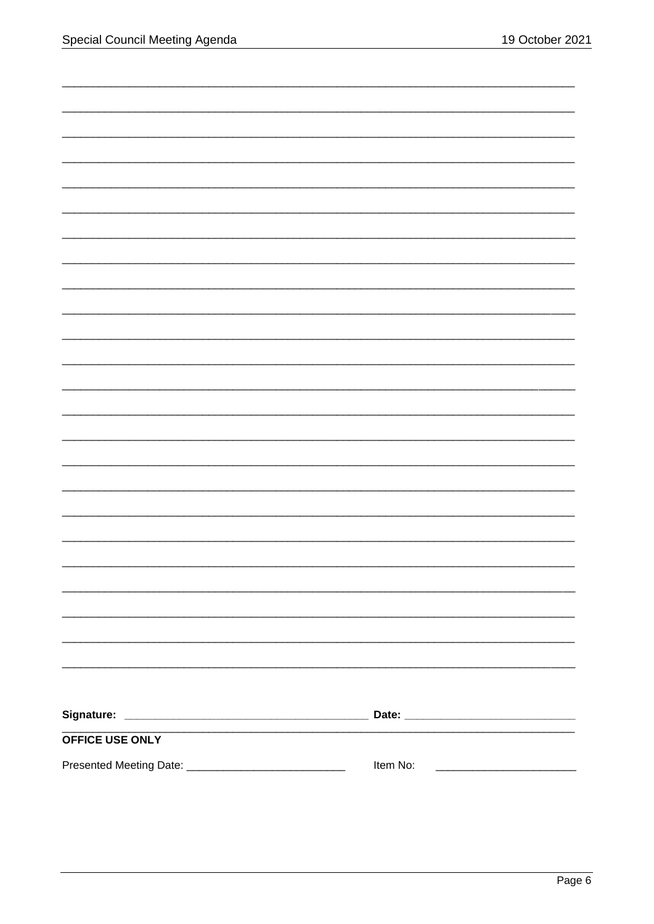| <b>OFFICE USE ONLY</b> |          |
|------------------------|----------|
|                        | Item No: |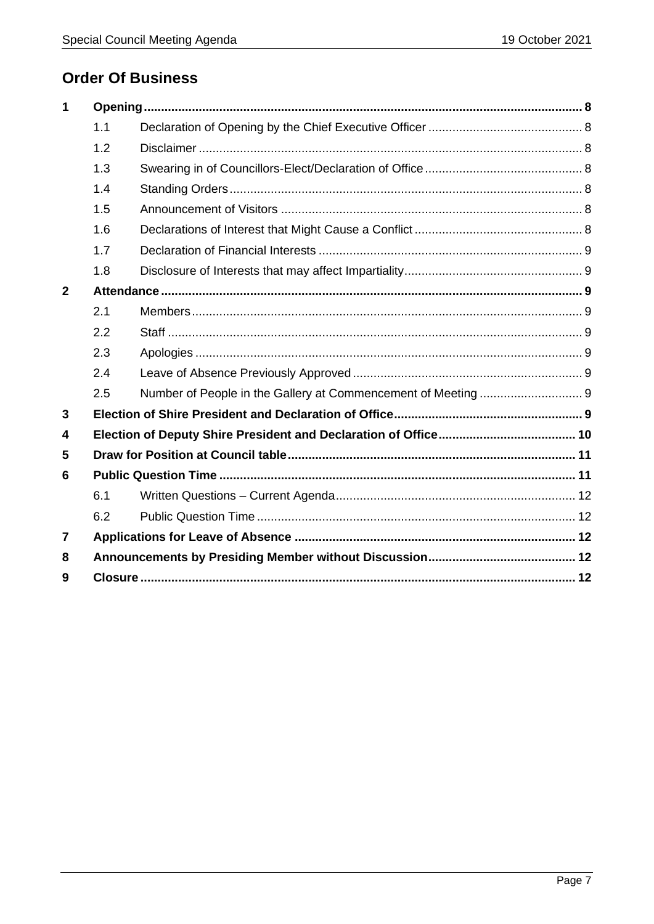# **Order Of Business**

| 1            |     |  |  |
|--------------|-----|--|--|
|              | 1.1 |  |  |
|              | 1.2 |  |  |
|              | 1.3 |  |  |
|              | 1.4 |  |  |
|              | 1.5 |  |  |
|              | 1.6 |  |  |
|              | 1.7 |  |  |
|              | 1.8 |  |  |
| $\mathbf{2}$ |     |  |  |
|              | 2.1 |  |  |
|              | 2.2 |  |  |
|              | 2.3 |  |  |
|              | 2.4 |  |  |
|              | 2.5 |  |  |
| 3            |     |  |  |
| 4            |     |  |  |
| 5            |     |  |  |
| 6            |     |  |  |
|              | 6.1 |  |  |
|              | 6.2 |  |  |
| 7            |     |  |  |
| 8            |     |  |  |
| 9            |     |  |  |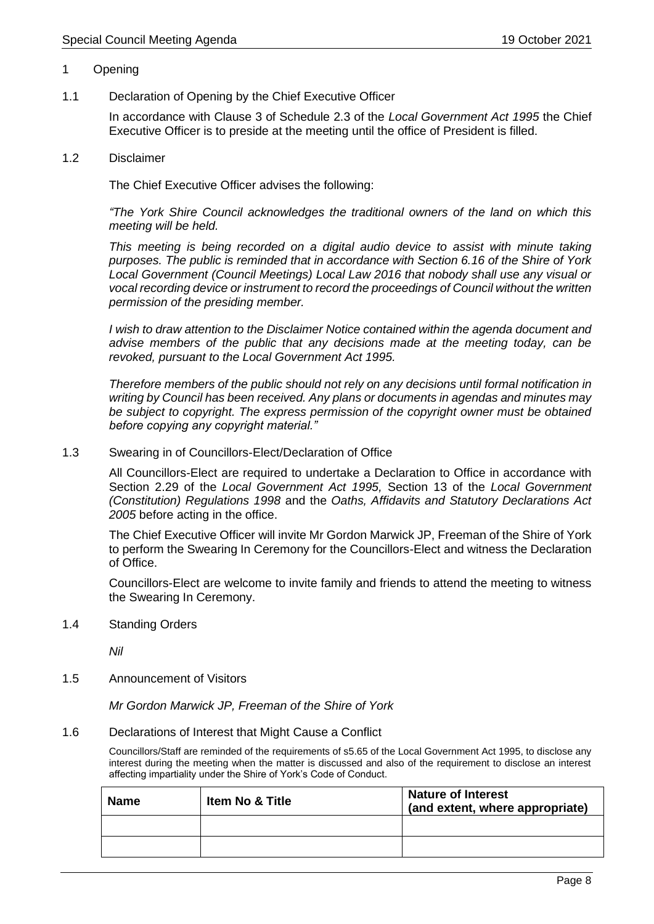#### 1 Opening

1.1 Declaration of Opening by the Chief Executive Officer

In accordance with Clause 3 of Schedule 2.3 of the *Local Government Act 1995* the Chief Executive Officer is to preside at the meeting until the office of President is filled.

1.2 Disclaimer

The Chief Executive Officer advises the following:

*"The York Shire Council acknowledges the traditional owners of the land on which this meeting will be held.*

*This meeting is being recorded on a digital audio device to assist with minute taking purposes. The public is reminded that in accordance with Section 6.16 of the Shire of York Local Government (Council Meetings) Local Law 2016 that nobody shall use any visual or vocal recording device or instrument to record the proceedings of Council without the written permission of the presiding member.*

*I wish to draw attention to the Disclaimer Notice contained within the agenda document and advise members of the public that any decisions made at the meeting today, can be revoked, pursuant to the Local Government Act 1995.*

*Therefore members of the public should not rely on any decisions until formal notification in writing by Council has been received. Any plans or documents in agendas and minutes may be subject to copyright. The express permission of the copyright owner must be obtained before copying any copyright material."*

#### 1.3 Swearing in of Councillors-Elect/Declaration of Office

All Councillors-Elect are required to undertake a Declaration to Office in accordance with Section 2.29 of the *Local Government Act 1995,* Section 13 of the *Local Government (Constitution) Regulations 1998* and the *Oaths, Affidavits and Statutory Declarations Act 2005* before acting in the office.

The Chief Executive Officer will invite Mr Gordon Marwick JP, Freeman of the Shire of York to perform the Swearing In Ceremony for the Councillors-Elect and witness the Declaration of Office.

Councillors-Elect are welcome to invite family and friends to attend the meeting to witness the Swearing In Ceremony.

1.4 Standing Orders

*Nil*

1.5 Announcement of Visitors

*Mr Gordon Marwick JP, Freeman of the Shire of York*

#### 1.6 Declarations of Interest that Might Cause a Conflict

Councillors/Staff are reminded of the requirements of s5.65 of the Local Government Act 1995, to disclose any interest during the meeting when the matter is discussed and also of the requirement to disclose an interest affecting impartiality under the Shire of York's Code of Conduct.

| <b>Name</b> | <b>Item No &amp; Title</b> | <b>Nature of Interest</b><br>(and extent, where appropriate) |
|-------------|----------------------------|--------------------------------------------------------------|
|             |                            |                                                              |
|             |                            |                                                              |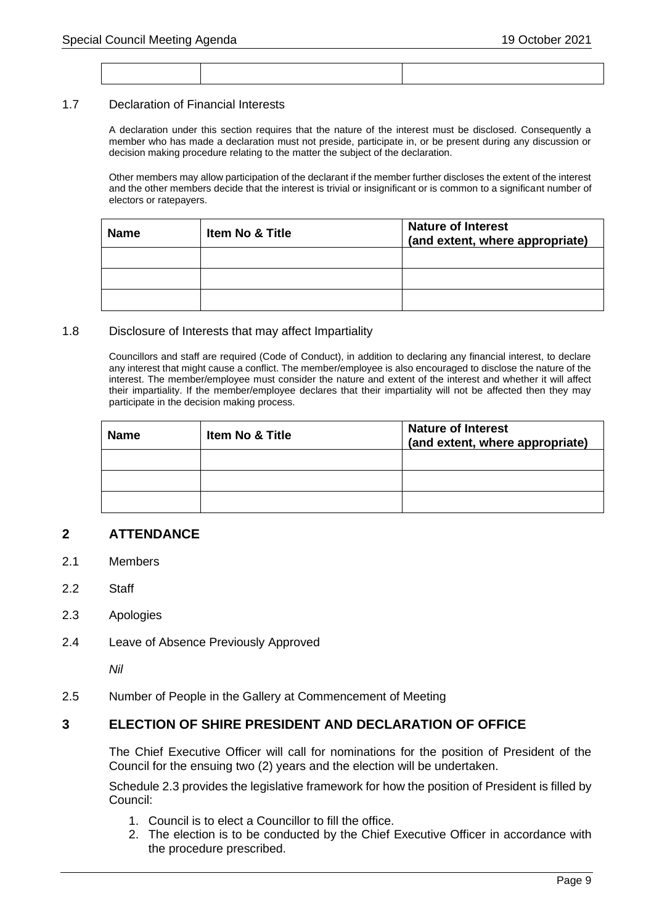#### 1.7 Declaration of Financial Interests

A declaration under this section requires that the nature of the interest must be disclosed. Consequently a member who has made a declaration must not preside, participate in, or be present during any discussion or decision making procedure relating to the matter the subject of the declaration.

Other members may allow participation of the declarant if the member further discloses the extent of the interest and the other members decide that the interest is trivial or insignificant or is common to a significant number of electors or ratepayers.

| <b>Name</b> | <b>Item No &amp; Title</b> | <b>Nature of Interest</b><br>(and extent, where appropriate) |
|-------------|----------------------------|--------------------------------------------------------------|
|             |                            |                                                              |
|             |                            |                                                              |
|             |                            |                                                              |

#### 1.8 Disclosure of Interests that may affect Impartiality

Councillors and staff are required (Code of Conduct), in addition to declaring any financial interest, to declare any interest that might cause a conflict. The member/employee is also encouraged to disclose the nature of the interest. The member/employee must consider the nature and extent of the interest and whether it will affect their impartiality. If the member/employee declares that their impartiality will not be affected then they may participate in the decision making process.

| <b>Name</b> | Item No & Title | <b>Nature of Interest</b><br>(and extent, where appropriate) |
|-------------|-----------------|--------------------------------------------------------------|
|             |                 |                                                              |
|             |                 |                                                              |
|             |                 |                                                              |

## **2 ATTENDANCE**

- 2.1 Members
- 2.2 Staff
- 2.3 Apologies
- 2.4 Leave of Absence Previously Approved

*Nil*

2.5 Number of People in the Gallery at Commencement of Meeting

#### **3 ELECTION OF SHIRE PRESIDENT AND DECLARATION OF OFFICE**

The Chief Executive Officer will call for nominations for the position of President of the Council for the ensuing two (2) years and the election will be undertaken.

Schedule 2.3 provides the legislative framework for how the position of President is filled by Council:

- 1. Council is to elect a Councillor to fill the office.
- 2. The election is to be conducted by the Chief Executive Officer in accordance with the procedure prescribed.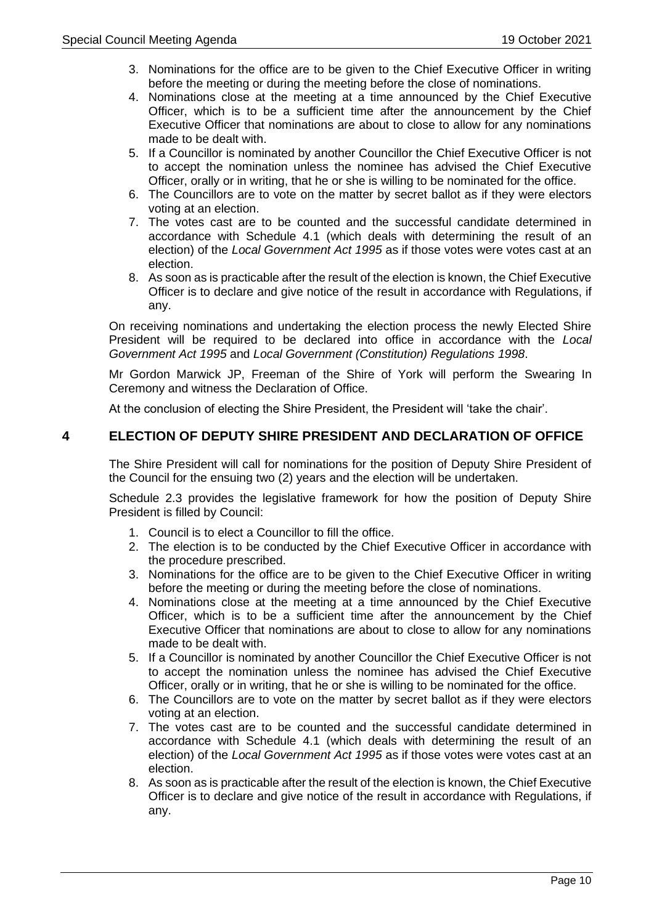- 3. Nominations for the office are to be given to the Chief Executive Officer in writing before the meeting or during the meeting before the close of nominations.
- 4. Nominations close at the meeting at a time announced by the Chief Executive Officer, which is to be a sufficient time after the announcement by the Chief Executive Officer that nominations are about to close to allow for any nominations made to be dealt with.
- 5. If a Councillor is nominated by another Councillor the Chief Executive Officer is not to accept the nomination unless the nominee has advised the Chief Executive Officer, orally or in writing, that he or she is willing to be nominated for the office.
- 6. The Councillors are to vote on the matter by secret ballot as if they were electors voting at an election.
- 7. The votes cast are to be counted and the successful candidate determined in accordance with Schedule 4.1 (which deals with determining the result of an election) of the *Local Government Act 1995* as if those votes were votes cast at an election.
- 8. As soon as is practicable after the result of the election is known, the Chief Executive Officer is to declare and give notice of the result in accordance with Regulations, if any.

On receiving nominations and undertaking the election process the newly Elected Shire President will be required to be declared into office in accordance with the *Local Government Act 1995* and *Local Government (Constitution) Regulations 1998*.

Mr Gordon Marwick JP, Freeman of the Shire of York will perform the Swearing In Ceremony and witness the Declaration of Office.

At the conclusion of electing the Shire President, the President will 'take the chair'.

## **4 ELECTION OF DEPUTY SHIRE PRESIDENT AND DECLARATION OF OFFICE**

The Shire President will call for nominations for the position of Deputy Shire President of the Council for the ensuing two (2) years and the election will be undertaken.

Schedule 2.3 provides the legislative framework for how the position of Deputy Shire President is filled by Council:

- 1. Council is to elect a Councillor to fill the office.
- 2. The election is to be conducted by the Chief Executive Officer in accordance with the procedure prescribed.
- 3. Nominations for the office are to be given to the Chief Executive Officer in writing before the meeting or during the meeting before the close of nominations.
- 4. Nominations close at the meeting at a time announced by the Chief Executive Officer, which is to be a sufficient time after the announcement by the Chief Executive Officer that nominations are about to close to allow for any nominations made to be dealt with.
- 5. If a Councillor is nominated by another Councillor the Chief Executive Officer is not to accept the nomination unless the nominee has advised the Chief Executive Officer, orally or in writing, that he or she is willing to be nominated for the office.
- 6. The Councillors are to vote on the matter by secret ballot as if they were electors voting at an election.
- 7. The votes cast are to be counted and the successful candidate determined in accordance with Schedule 4.1 (which deals with determining the result of an election) of the *Local Government Act 1995* as if those votes were votes cast at an election.
- 8. As soon as is practicable after the result of the election is known, the Chief Executive Officer is to declare and give notice of the result in accordance with Regulations, if any.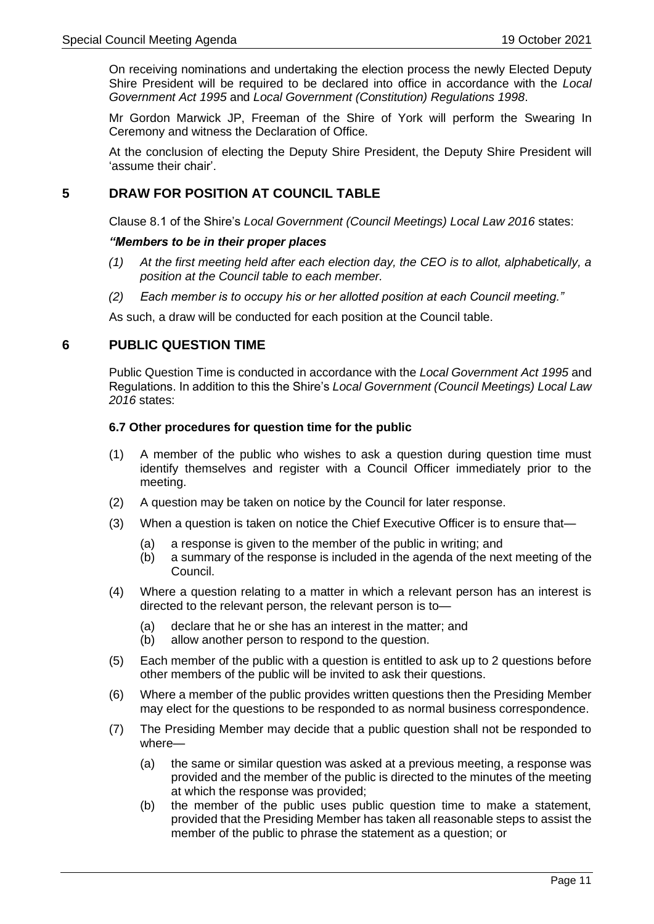On receiving nominations and undertaking the election process the newly Elected Deputy Shire President will be required to be declared into office in accordance with the *Local Government Act 1995* and *Local Government (Constitution) Regulations 1998*.

Mr Gordon Marwick JP, Freeman of the Shire of York will perform the Swearing In Ceremony and witness the Declaration of Office.

At the conclusion of electing the Deputy Shire President, the Deputy Shire President will 'assume their chair'.

## **5 DRAW FOR POSITION AT COUNCIL TABLE**

Clause 8.1 of the Shire's *Local Government (Council Meetings) Local Law 2016* states:

#### *"Members to be in their proper places*

- *(1) At the first meeting held after each election day, the CEO is to allot, alphabetically, a position at the Council table to each member.*
- *(2) Each member is to occupy his or her allotted position at each Council meeting."*

As such, a draw will be conducted for each position at the Council table.

## **6 PUBLIC QUESTION TIME**

Public Question Time is conducted in accordance with the *Local Government Act 1995* and Regulations. In addition to this the Shire's *Local Government (Council Meetings) Local Law 2016* states:

#### **6.7 Other procedures for question time for the public**

- (1) A member of the public who wishes to ask a question during question time must identify themselves and register with a Council Officer immediately prior to the meeting.
- (2) A question may be taken on notice by the Council for later response.
- (3) When a question is taken on notice the Chief Executive Officer is to ensure that—
	- (a) a response is given to the member of the public in writing; and
	- (b) a summary of the response is included in the agenda of the next meeting of the Council.
- (4) Where a question relating to a matter in which a relevant person has an interest is directed to the relevant person, the relevant person is to—
	- (a) declare that he or she has an interest in the matter; and
	- (b) allow another person to respond to the question.
- (5) Each member of the public with a question is entitled to ask up to 2 questions before other members of the public will be invited to ask their questions.
- (6) Where a member of the public provides written questions then the Presiding Member may elect for the questions to be responded to as normal business correspondence.
- (7) The Presiding Member may decide that a public question shall not be responded to where—
	- (a) the same or similar question was asked at a previous meeting, a response was provided and the member of the public is directed to the minutes of the meeting at which the response was provided;
	- (b) the member of the public uses public question time to make a statement, provided that the Presiding Member has taken all reasonable steps to assist the member of the public to phrase the statement as a question; or